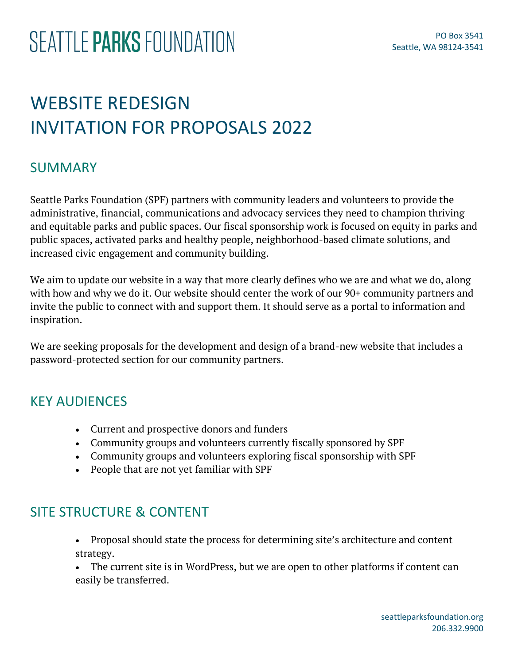## WEBSITE REDESIGN INVITATION FOR PROPOSALS 2022

#### SUMMARY

Seattle Parks Foundation (SPF) partners with community leaders and volunteers to provide the administrative, financial, communications and advocacy services they need to champion thriving and equitable parks and public spaces. Our fiscal sponsorship work is focused on equity in parks and public spaces, activated parks and healthy people, neighborhood-based climate solutions, and increased civic engagement and community building.

We aim to update our website in a way that more clearly defines who we are and what we do, along with how and why we do it. Our website should center the work of our 90+ community partners and invite the public to connect with and support them. It should serve as a portal to information and inspiration.

We are seeking proposals for the development and design of a brand-new website that includes a password-protected section for our community partners.

#### KEY AUDIENCES

- Current and prospective donors and funders
- Community groups and volunteers currently fiscally sponsored by SPF
- Community groups and volunteers exploring fiscal sponsorship with SPF
- People that are not yet familiar with SPF

#### SITE STRUCTURE & CONTENT

- Proposal should state the process for determining site's architecture and content strategy.
- The current site is in WordPress, but we are open to other platforms if content can easily be transferred.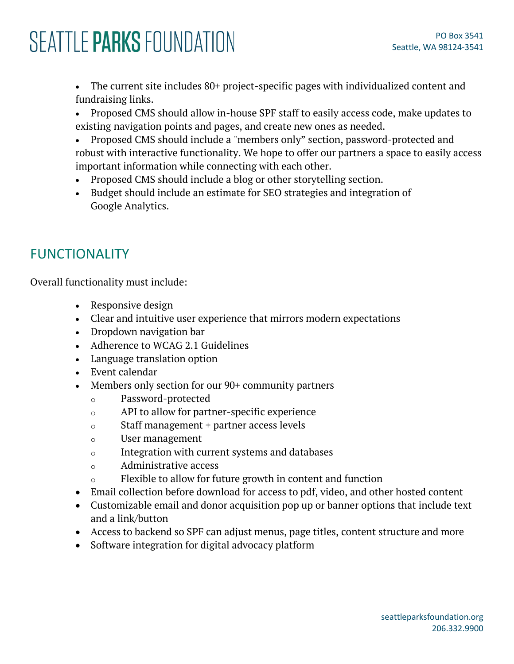# SEATTLE PARKS FOUNDATION

• The current site includes 80+ project-specific pages with individualized content and fundraising links.

- Proposed CMS should allow in-house SPF staff to easily access code, make updates to existing navigation points and pages, and create new ones as needed.
- Proposed CMS should include a "members only" section, password-protected and robust with interactive functionality. We hope to offer our partners a space to easily access important information while connecting with each other.
- Proposed CMS should include a blog or other storytelling section.
- Budget should include an estimate for SEO strategies and integration of Google Analytics.

### FUNCTIONALITY

Overall functionality must include:

- Responsive design
- Clear and intuitive user experience that mirrors modern expectations
- Dropdown navigation bar
- Adherence to WCAG 2.1 Guidelines
- Language translation option
- Event calendar
- Members only section for our 90+ community partners
	- o Password-protected
	- o API to allow for partner-specific experience
	- o Staff management + partner access levels
	- o User management
	- o Integration with current systems and databases
	- o Administrative access
	- o Flexible to allow for future growth in content and function
- Email collection before download for access to pdf, video, and other hosted content
- Customizable email and donor acquisition pop up or banner options that include text and a link/button
- Access to backend so SPF can adjust menus, page titles, content structure and more
- Software integration for digital advocacy platform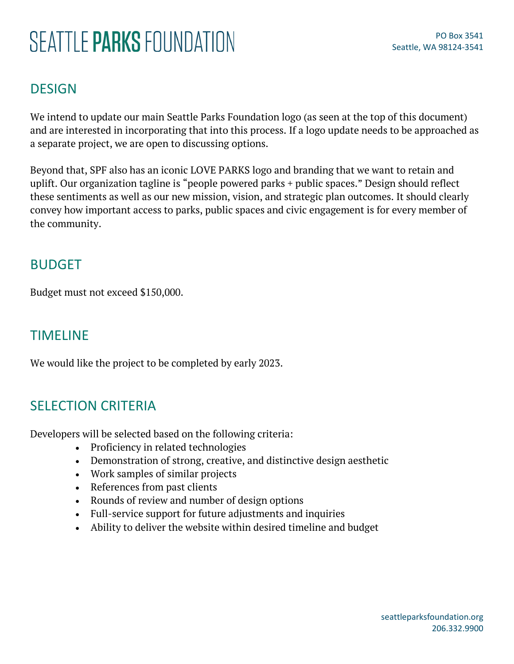# SEATTI F PARKS FOUNDATION

### DESIGN

We intend to update our main Seattle Parks Foundation logo (as seen at the top of this document) and are interested in incorporating that into this process. If a logo update needs to be approached as a separate project, we are open to discussing options.

Beyond that, SPF also has an iconic LOVE PARKS logo and branding that we want to retain and uplift. Our organization tagline is "people powered parks + public spaces." Design should reflect these sentiments as well as our new mission, vision, and strategic plan outcomes. It should clearly convey how important access to parks, public spaces and civic engagement is for every member of the community.

#### BUDGET

Budget must not exceed \$150,000.

#### TIMELINE

We would like the project to be completed by early 2023.

#### SELECTION CRITERIA

Developers will be selected based on the following criteria:

- Proficiency in related technologies
- Demonstration of strong, creative, and distinctive design aesthetic
- Work samples of similar projects
- References from past clients
- Rounds of review and number of design options
- Full-service support for future adjustments and inquiries
- Ability to deliver the website within desired timeline and budget